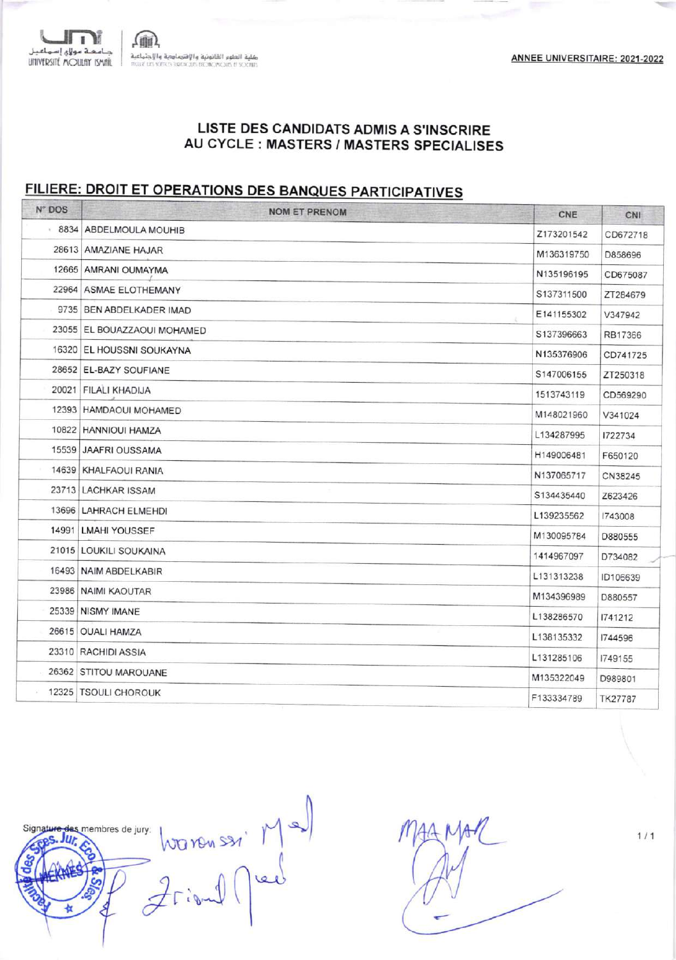$(m)$ طلبة العلوم القانونية والإفتيماجية والإجتماعية<br>Haaf in yones someon memerinary of seem

 $\mathbb{I}$  1

جامعة مولاق إسماعيل

UTIIVERSITÉ MOULAY ISMAIL

#### LISTE DES CANDIDATS ADMIS A S'INSCRIRE AU CYCLE : MASTERS / MASTERS SPECIALISES

# FILIERE: DROIT ET OPERATIONS DES BANQUES PARTICIPATIVES

| N° DOS | <b>NOM ET PRENOM</b>        | CNE        | CNI      |
|--------|-----------------------------|------------|----------|
|        | 8834 ABDELMOULA MOUHIB      | Z173201542 | CD672718 |
|        | 28613 AMAZIANE HAJAR        | M136319750 | D858696  |
|        | 12665 AMRANI OUMAYMA        | N135196195 | CD675087 |
| 22964  | <b>ASMAE ELOTHEMANY</b>     | S137311500 | ZT284679 |
|        | 9735 BEN ABDELKADER IMAD    | E141155302 | V347942  |
|        | 23055 EL BOUAZZAOUI MOHAMED | S137396663 | RB17366  |
|        | 16320 EL HOUSSNI SOUKAYNA   | N135376906 | CD741725 |
|        | 28652 EL-BAZY SOUFIANE      | S147006155 | ZT250318 |
| 20021  | FILALI KHADIJA              | 1513743119 | CD569290 |
|        | 12393 HAMDAOUI MOHAMED      | M148021960 | V341024  |
|        | 10822 HANNIOUI HAMZA        | L134287995 | 1722734  |
|        | 15539 JAAFRI OUSSAMA        | H149006481 | F650120  |
|        | 14639 KHALFAOUI RANIA       | N137065717 | CN38245  |
|        | 23713 LACHKAR ISSAM         | S134435440 | Z623426  |
|        | 13696 LAHRACH ELMEHDI       | L139235562 | 1743008  |
| 14991  | <b>LMAHI YOUSSEF</b>        | M130095784 | D880555  |
|        | 21015 LOUKILI SOUKAINA      | 1414967097 | D734082  |
|        | 16493 NAIM ABDELKABIR       | L131313238 | ID106639 |
|        | 23986 NAIMI KAOUTAR         | M134396989 | D880557  |
|        | 25339 NISMY IMANE           | L138286570 | 1741212  |
|        | 26615 OUALI HAMZA           | L138135332 | 1744596  |
|        | 23310 RACHIDI ASSIA         | L131285106 | 1749155  |
|        | 26362 STITOU MAROUANE       | M135322049 | D989801  |
|        | 12325 TSOULI CHOROUK        | F133334789 | TK27787  |
|        |                             |            |          |

Jrienline Signature des membres de jury: **Jur**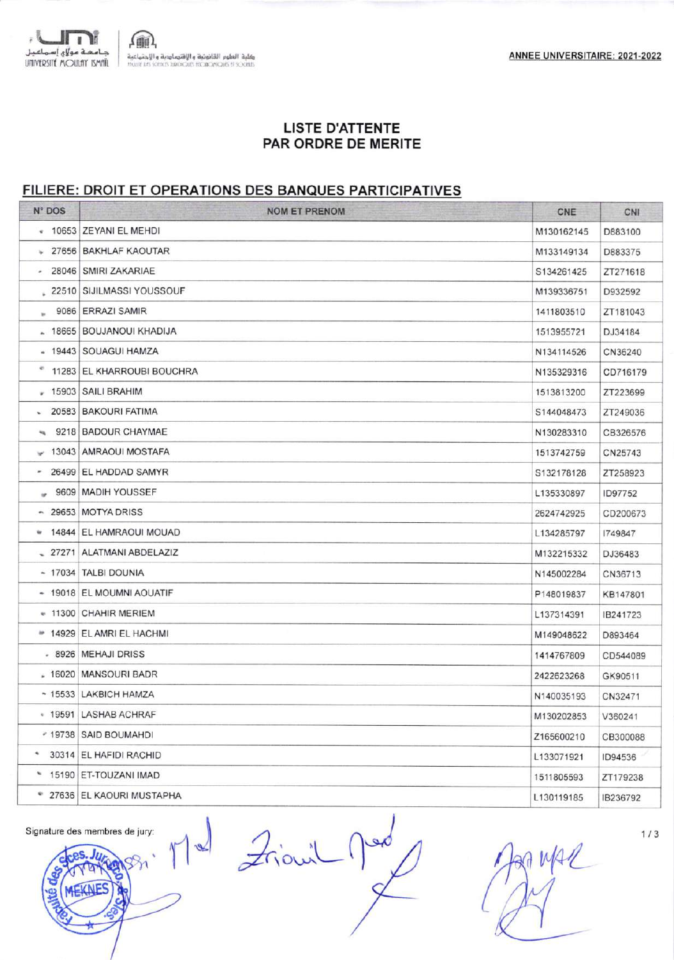

#### **LISTE D'ATTENTE** PAR ORDRE DE MERITE

#### FILIERE: DROIT ET OPERATIONS DES BANQUES PARTICIPATIVES

| N° DOS | <b>NOM ET PRENOM</b>                    | <b>CNE</b> | CNI      |
|--------|-----------------------------------------|------------|----------|
|        | * 10653 ZEYANI EL MEHDI                 | M130162145 | D883100  |
|        | 27656 BAKHLAF KAOUTAR                   | M133149134 | D883375  |
|        | - 28046 SMIRI ZAKARIAE                  | S134261425 | ZT271618 |
|        | 22510 SIJILMASSI YOUSSOUF               | M139336751 | D932592  |
|        | 9086 ERRAZI SAMIR                       | 1411803510 | ZT181043 |
|        | - 18665   BOUJANOUI KHADIJA             | 1513955721 | DJ34184  |
|        | - 19443   SOUAGUI HAMZA                 | N134114526 | CN36240  |
|        | <sup>e</sup> 11283 EL KHARROUBI BOUCHRA | N135329316 | CD716179 |
|        | # 15903 SAILI BRAHIM                    | 1513813200 | ZT223699 |
|        | 20583 BAKOURI FATIMA                    | S144048473 | ZT249036 |
|        | 9218   BADOUR CHAYMAE                   | N130283310 | CB326576 |
|        | $\sim$ 13043   AMRAOUI MOSTAFA          | 1513742759 | CN25743  |
|        | - 26499 EL HADDAD SAMYR                 | S132178128 | ZT258923 |
|        | 9609 MADIH YOUSSEF                      | L135330897 | ID97752  |
|        | - 29653 MOTYA DRISS                     | 2624742925 | CD200673 |
|        | * 14844 EL HAMRAOUI MOUAD               | L134285797 | 1749847  |
|        | 27271 ALATMANI ABDELAZIZ                | M132215332 | DJ36483  |
|        | - 17034 TALBI DOUNIA                    | N145002284 | CN36713  |
|        | - 19018 EL MOUMNI AOUATIF               | P148019837 | KB147801 |
|        | $\approx$ 11300 CHAHIR MERIEM           | L137314391 | IB241723 |
|        | ■ 14929 EL AMRI EL HACHMI               | M149048622 | D893464  |
|        | - 8926 MEHAJI DRISS                     | 1414767809 | CD544089 |
|        | - 16020 MANSOURI BADR                   | 2422623268 | GK90511  |
|        | $\sim$ 15533 LAKBICH HAMZA              | N140035193 | CN32471  |
|        | * 19591 LASHAB ACHRAF                   | M130202853 | V360241  |
|        | ■ 19738 SAID BOUMAHDI                   | Z165600210 | CB300088 |
| ۰.     | 30314 EL HAFIDI RACHID                  | L133071921 | ID94536  |
|        | * 15190 ET-TOUZANI IMAD                 | 1511805593 | ZT179238 |
|        | * 27636 EL KAOURI MUSTAPHA              | L130119185 | IB236792 |
|        |                                         |            |          |

Signature des membres de jury:

et Front Mod

was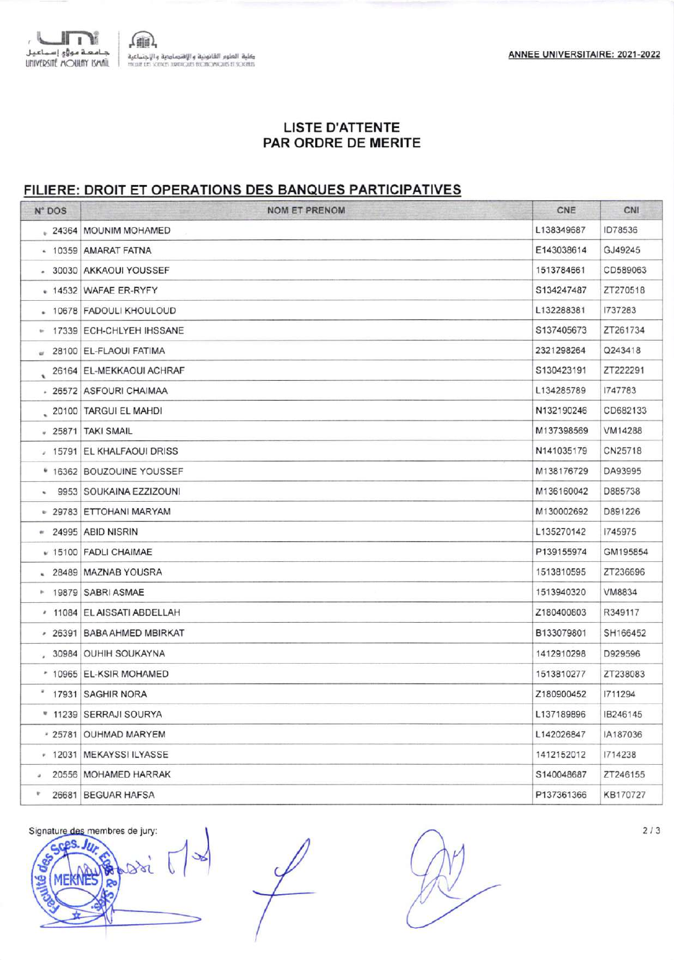

وكلية العلوم القانونية والإفترساودية والإجتماعية<br>mont in strict strictus froncesses it sports

## **LISTE D'ATTENTE** PAR ORDRE DE MERITE

## FILIERE: DROIT ET OPERATIONS DES BANQUES PARTICIPATIVES

| N° DOS    | <b>NOM ET PRENOM</b>         | CNE        | CNI      |
|-----------|------------------------------|------------|----------|
|           | 24364 MOUNIM MOHAMED         | L138349687 | ID78536  |
|           | - 10359 AMARAT FATNA         | E143038614 | GJ49245  |
|           | - 30030 AKKAOUI YOUSSEF      | 1513784661 | CD589063 |
|           | + 14532 WAFAE ER-RYFY        | S134247487 | ZT270518 |
|           | - 10678 FADOULI KHOULOUD     | L132288381 | 1737283  |
|           | ■ 17339 ECH-CHLYEH IHSSANE   | S137405673 | ZT261734 |
|           | 28100 EL-FLAOUI FATIMA       | 2321298264 | Q243418  |
|           | 26164 EL-MEKKAOUI ACHRAF     | S130423191 | ZT222291 |
|           | - 26572 ASFOURI CHAIMAA      | L134285789 | 1747783  |
|           | 20100 TARGUI EL MAHDI        | N132190246 | CD682133 |
|           | # 25871 TAKI SMAIL           | M137398569 | VM14288  |
|           | # 15791 EL KHALFAOUI DRISS   | N141035179 | CN25718  |
|           | * 16362 BOUZOUINE YOUSSEF    | M138176729 | DA93995  |
| $\sim$    | 9953   SOUKAINA EZZIZOUNI    | M136160042 | D885738  |
|           | - 29783 ETTOHANI MARYAM      | M130002692 | D891226  |
|           | # 24995 ABID NISRIN          | L135270142 | 1745975  |
|           | # 15100   FADLI CHAIMAE      | P139155974 | GM195854 |
|           | $\sim 28489$   MAZNAB YOUSRA | 1513810595 | ZT236696 |
|           | + 19879   SABRI ASMAE        | 1513940320 | VM8834   |
|           | # 11084 EL AISSATI ABDELLAH  | Z180400803 | R349117  |
|           | * 26391 BABA AHMED MBIRKAT   | B133079801 | SH166452 |
|           | 30984 OUHIH SOUKAYNA         | 1412910298 | D929596  |
|           | * 10965 EL-KSIR MOHAMED      | 1513810277 | ZT238083 |
|           | * 17931 SAGHIR NORA          | Z180900452 | 1711294  |
|           | * 11239 SERRAJI SOURYA       | L137189896 | IB246145 |
|           | * 25781 OUHMAD MARYEM        | L142026847 | IA187036 |
|           | * 12031   MEKAYSSI ILYASSE   | 1412152012 | 1714238  |
| $\bullet$ | 20556 MOHAMED HARRAK         | S140048687 | ZT246155 |
|           | 26681 BEGUAR HAFSA           | P137361366 | KB170727 |
|           |                              |            |          |

Signature des membres de jury:

c<sub>2</sub>S Ju e . dec  $280$ g ME